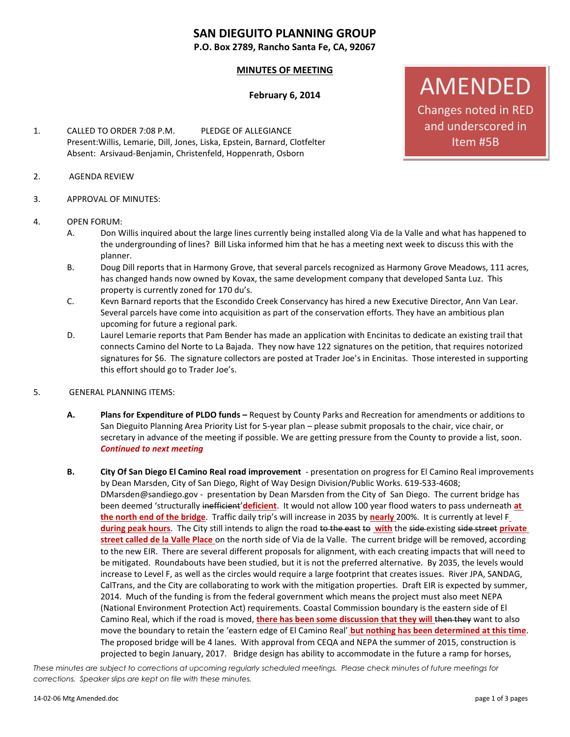# **SAN DIEGUITO PLANNING GROUP**

**P.O. Box 2789, Rancho Santa Fe, CA, 92067**

## **MINUTES OF MEETING**

### **February 6, 2014**

- 1. CALLED TO ORDER 7:08 P.M. PLEDGE OF ALLEGIANCE Present:Willis, Lemarie, Dill, Jones, Liska, Epstein, Barnard, Clotfelter Absent: Arsivaud-Benjamin, Christenfeld, Hoppenrath, Osborn
- 2. AGENDA REVIEW
- 3. APPROVAL OF MINUTES:

#### 4. OPEN FORUM:

- A. Don Willis inquired about the large lines currently being installed along Via de la Valle and what has happened to the undergrounding of lines? Bill Liska informed him that he has a meeting next week to discuss this with the planner.
- B. Doug Dill reports that in Harmony Grove, that several parcels recognized as Harmony Grove Meadows, 111 acres, has changed hands now owned by Kovax, the same development company that developed Santa Luz. This property is currently zoned for 170 du's.
- C. Kevn Barnard reports that the Escondido Creek Conservancy has hired a new Executive Director, Ann Van Lear. Several parcels have come into acquisition as part of the conservation efforts. They have an ambitious plan upcoming for future a regional park.
- D. Laurel Lemarie reports that Pam Bender has made an application with Encinitas to dedicate an existing trail that connects Camino del Norte to La Bajada. They now have 122 signatures on the petition, that requires notorized signatures for \$6. The signature collectors are posted at Trader Joe's in Encinitas. Those interested in supporting this effort should go to Trader Joe's.
- 5. GENERAL PLANNING ITEMS:
	- **A. Plans for Expenditure of PLDO funds –** Request by County Parks and Recreation for amendments or additions to San Dieguito Planning Area Priority List for 5-year plan – please submit proposals to the chair, vice chair, or secretary in advance of the meeting if possible. We are getting pressure from the County to provide a list, soon. *Continued to next meeting*
	- **B. City Of San Diego El Camino Real road improvement**  presentation on progress for El Camino Real improvements by Dean Marsden, City of San Diego, Right of Way Design Division/Public Works. 619-533-4608; [DMarsden@sandiego.gov](mailto:DMarsden@sandiego.gov) - presentation by Dean Marsden from the City of San Diego. The current bridge has been deemed 'structurally inefficient'**deficient**. It would not allow 100 year flood waters to pass underneath **at the north end of the bridge**. Traffic daily trip's will increase in 2035 by **nearly** 200%. It is currently at level F **during peak hours**. The City still intends to align the road to the east to **with** the side existing side street **private street called de la Valle Place** on the north side of Via de la Valle. The current bridge will be removed, according to the new EIR. There are several different proposals for alignment, with each creating impacts that will need to be mitigated. Roundabouts have been studied, but it is not the preferred alternative. By 2035, the levels would increase to Level F, as well as the circles would require a large footprint that creates issues. River JPA, SANDAG, CalTrans, and the City are collaborating to work with the mitigation properties. Draft EIR is expected by summer, 2014. Much of the funding is from the federal government which means the project must also meet NEPA (National Environment Protection Act) requirements. Coastal Commission boundary is the eastern side of El Camino Real, which if the road is moved, **there has been some discussion that they will** then they want to also move the boundary to retain the 'eastern edge of El Camino Real' **but nothing has been determined at this time**. The proposed bridge will be 4 lanes. With approval from CEQA and NEPA the summer of 2015, construction is projected to begin January, 2017. Bridge design has ability to accommodate in the future a ramp for horses,

*These minutes are subject to corrections at upcoming regularly scheduled meetings. Please check minutes of future meetings for corrections. Speaker slips are kept on file with these minutes.*

# AMENDED Changes noted in RED and underscored in

Item #5B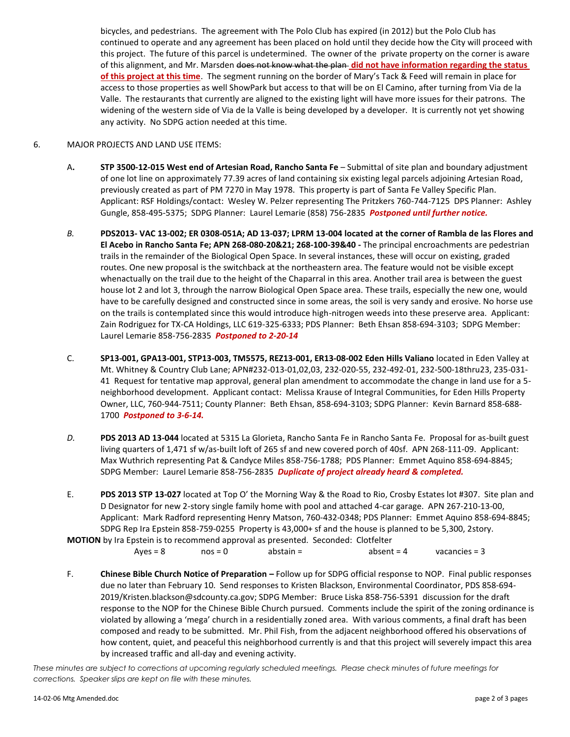bicycles, and pedestrians. The agreement with The Polo Club has expired (in 2012) but the Polo Club has continued to operate and any agreement has been placed on hold until they decide how the City will proceed with this project. The future of this parcel is undetermined. The owner of the private property on the corner is aware of this alignment, and Mr. Marsden does not know what the plan **did not have information regarding the status of this project at this time**. The segment running on the border of Mary's Tack & Feed will remain in place for access to those properties as well ShowPark but access to that will be on El Camino, after turning from Via de la Valle. The restaurants that currently are aligned to the existing light will have more issues for their patrons. The widening of the western side of Via de la Valle is being developed by a developer. It is currently not yet showing any activity. No SDPG action needed at this time.

#### 6. MAJOR PROJECTS AND LAND USE ITEMS:

- A**. STP 3500-12-015 West end of Artesian Road, Rancho Santa Fe** Submittal of site plan and boundary adjustment of one lot line on approximately 77.39 acres of land containing six existing legal parcels adjoining Artesian Road, previously created as part of PM 7270 in May 1978. This property is part of Santa Fe Valley Specific Plan. Applicant: RSF Holdings/contact: Wesley W. Pelzer representing The Pritzkers 760-744-7125 DPS Planner: Ashley Gungle, 858-495-5375; SDPG Planner: Laurel Lemarie (858) 756-2835 *Postponed until further notice.*
- *B.* **PDS2013- VAC 13-002; ER 0308-051A; AD 13-037; LPRM 13-004 located at the corner of Rambla de las Flores and El Acebo in Rancho Santa Fe; APN 268-080-20&21; 268-100-39&40 -** The principal encroachments are pedestrian trails in the remainder of the Biological Open Space. In several instances, these will occur on existing, graded routes. One new proposal is the switchback at the northeastern area. The feature would not be visible except whenactually on the trail due to the height of the Chaparral in this area. Another trail area is between the guest house lot 2 and lot 3, through the narrow Biological Open Space area. These trails, especially the new one, would have to be carefully designed and constructed since in some areas, the soil is very sandy and erosive. No horse use on the trails is contemplated since this would introduce high-nitrogen weeds into these preserve area. Applicant: Zain Rodriguez for TX-CA Holdings, LLC 619-325-6333; PDS Planner: Beth Ehsan 858-694-3103; SDPG Member: Laurel Lemarie 858-756-2835 *Postponed to 2-20-14*
- C. **SP13-001, GPA13-001, STP13-003, TM5575, REZ13-001, ER13-08-002 Eden Hills Valiano** located in Eden Valley at Mt. Whitney & Country Club Lane; APN#232-013-01,02,03, 232-020-55, 232-492-01, 232-500-18thru23, 235-031- 41 Request for tentative map approval, general plan amendment to accommodate the change in land use for a 5 neighborhood development. Applicant contact: Melissa Krause of Integral Communities, for Eden Hills Property Owner, LLC, 760-944-7511; County Planner: Beth Ehsan, 858-694-3103; SDPG Planner: Kevin Barnard 858-688- 1700 *Postponed to 3-6-14.*
- *D.* **PDS 2013 AD 13-044** located at 5315 La Glorieta, Rancho Santa Fe in Rancho Santa Fe. Proposal for as-built guest living quarters of 1,471 sf w/as-built loft of 265 sf and new covered porch of 40sf. APN 268-111-09. Applicant: Max Wuthrich representing Pat & Candyce Miles 858-756-1788; PDS Planner: Emmet Aquino 858-694-8845; SDPG Member: Laurel Lemarie 858-756-2835 *Duplicate of project already heard & completed.*
- E. **PDS 2013 STP 13-027** located at Top O' the Morning Way & the Road to Rio, Crosby Estates lot #307. Site plan and D Designator for new 2-story single family home with pool and attached 4-car garage. APN 267-210-13-00, Applicant: Mark Radford representing Henry Matson, 760-432-0348; PDS Planner: Emmet Aquino 858-694-8845; SDPG Rep Ira Epstein 858-759-0255 Property is 43,000+ sf and the house is planned to be 5,300, 2story. **MOTION** by Ira Epstein is to recommend approval as presented. Seconded: Clotfelter

- $Ayes = 8$  nos = 0 abstain =  $\qquad$  absent = 4 vacancies = 3
- F. **Chinese Bible Church Notice of Preparation –** Follow up for SDPG official response to NOP. Final public responses due no later than February 10. Send responses to Kristen Blackson, Environmental Coordinator, PDS 858-694- 2019/Kristen.blackson@sdcounty.ca.gov; SDPG Member: Bruce Liska 858-756-5391 discussion for the draft response to the NOP for the Chinese Bible Church pursued. Comments include the spirit of the zoning ordinance is violated by allowing a 'mega' church in a residentially zoned area. With various comments, a final draft has been composed and ready to be submitted. Mr. Phil Fish, from the adjacent neighborhood offered his observations of how content, quiet, and peaceful this neighborhood currently is and that this project will severely impact this area by increased traffic and all-day and evening activity.

*These minutes are subject to corrections at upcoming regularly scheduled meetings. Please check minutes of future meetings for corrections. Speaker slips are kept on file with these minutes.*